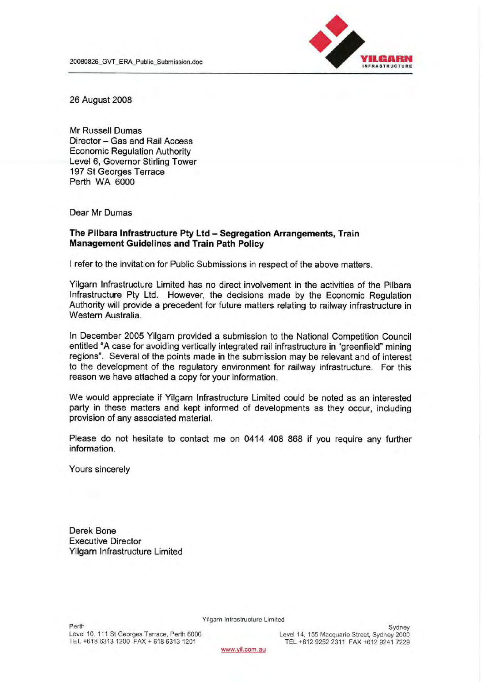

26 August 2008

Mr Russell Dumas Director - Gas and Rail Access **Economic Regulation Authority** Level 6, Governor Stirling Tower 197 St Georges Terrace Perth WA 6000

Dear Mr Dumas

#### The Pilbara Infrastructure Pty Ltd - Segregation Arrangements, Train **Management Guidelines and Train Path Policy**

I refer to the invitation for Public Submissions in respect of the above matters.

Yilgarn Infrastructure Limited has no direct involvement in the activities of the Pilbara Infrastructure Pty Ltd. However, the decisions made by the Economic Regulation Authority will provide a precedent for future matters relating to railway infrastructure in Western Australia.

In December 2005 Yilgarn provided a submission to the National Competition Council entitled "A case for avoiding vertically integrated rail infrastructure in "greenfield" mining regions". Several of the points made in the submission may be relevant and of interest to the development of the regulatory environment for railway infrastructure. For this reason we have attached a copy for your information.

We would appreciate if Yilgarn Infrastructure Limited could be noted as an interested party in these matters and kept informed of developments as they occur, including provision of any associated material.

Please do not hesitate to contact me on 0414 408 868 if you require any further information.

Yours sincerely

Derek Bone **Executive Director** Yilgarn Infrastructure Limited

Yilgarn Infrastructure Limited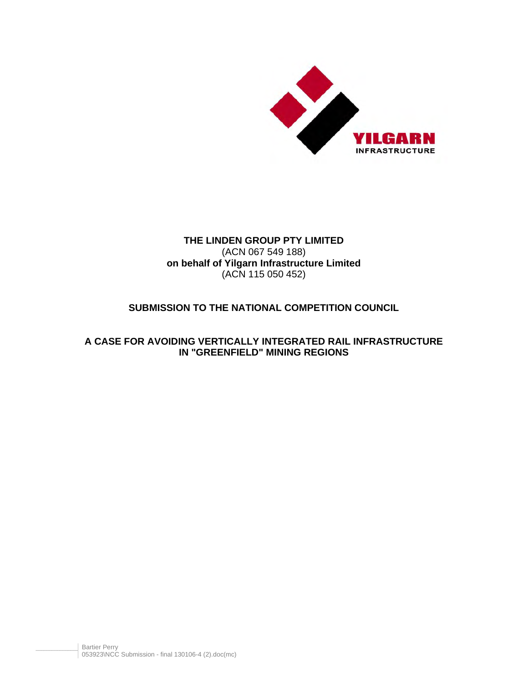

# **THE LINDEN GROUP PTY LIMITED**  (ACN 067 549 188) **on behalf of Yilgarn Infrastructure Limited**  (ACN 115 050 452)

# **SUBMISSION TO THE NATIONAL COMPETITION COUNCIL**

# **A CASE FOR AVOIDING VERTICALLY INTEGRATED RAIL INFRASTRUCTURE IN "GREENFIELD" MINING REGIONS**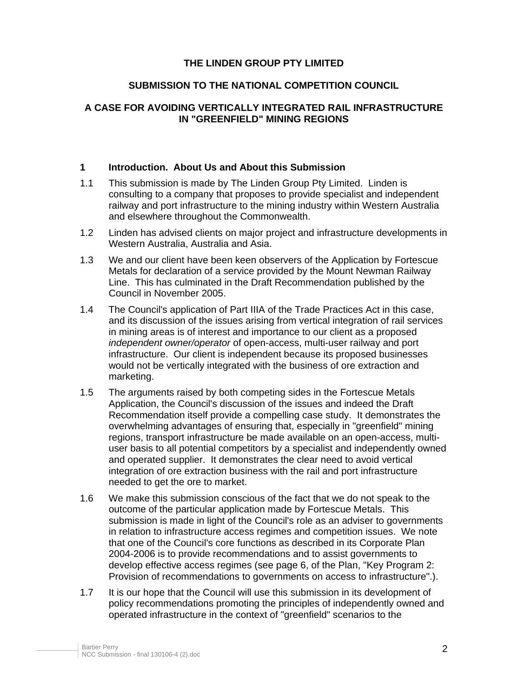## **THE LINDEN GROUP PTY LIMITED**

## **SUBMISSION TO THE NATIONAL COMPETITION COUNCIL**

# **A CASE FOR AVOIDING VERTICALLY INTEGRATED RAIL INFRASTRUCTURE IN "GREENFIELD" MINING REGIONS**

#### **1 Introduction. About Us and About this Submission**

- 1.1 This submission is made by The Linden Group Pty Limited. Linden is consulting to a company that proposes to provide specialist and independent railway and port infrastructure to the mining industry within Western Australia and elsewhere throughout the Commonwealth.
- 1.2 Linden has advised clients on major project and infrastructure developments in Western Australia, Australia and Asia.
- 1.3 We and our client have been keen observers of the Application by Fortescue Metals for declaration of a service provided by the Mount Newman Railway Line. This has culminated in the Draft Recommendation published by the Council in November 2005.
- 1.4 The Council's application of Part IIIA of the Trade Practices Act in this case, and its discussion of the issues arising from vertical integration of rail services in mining areas is of interest and importance to our client as a proposed *independent owner/operator* of open-access, multi-user railway and port infrastructure. Our client is independent because its proposed businesses would not be vertically integrated with the business of ore extraction and marketing.
- 1.5 The arguments raised by both competing sides in the Fortescue Metals Application, the Council's discussion of the issues and indeed the Draft Recommendation itself provide a compelling case study. It demonstrates the overwhelming advantages of ensuring that, especially in "greenfield" mining regions, transport infrastructure be made available on an open-access, multiuser basis to all potential competitors by a specialist and independently owned and operated supplier. It demonstrates the clear need to avoid vertical integration of ore extraction business with the rail and port infrastructure needed to get the ore to market.
- 1.6 We make this submission conscious of the fact that we do not speak to the outcome of the particular application made by Fortescue Metals. This submission is made in light of the Council's role as an adviser to governments in relation to infrastructure access regimes and competition issues. We note that one of the Council's core functions as described in its Corporate Plan 2004-2006 is to provide recommendations and to assist governments to develop effective access regimes (see page 6, of the Plan, "Key Program 2: Provision of recommendations to governments on access to infrastructure".).
- 1.7 It is our hope that the Council will use this submission in its development of policy recommendations promoting the principles of independently owned and operated infrastructure in the context of "greenfield" scenarios to the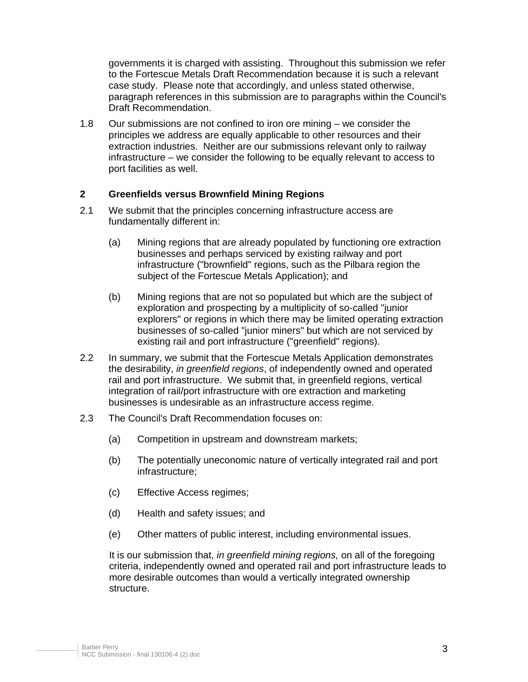governments it is charged with assisting. Throughout this submission we refer to the Fortescue Metals Draft Recommendation because it is such a relevant case study. Please note that accordingly, and unless stated otherwise, paragraph references in this submission are to paragraphs within the Council's Draft Recommendation.

1.8 Our submissions are not confined to iron ore mining – we consider the principles we address are equally applicable to other resources and their extraction industries. Neither are our submissions relevant only to railway infrastructure – we consider the following to be equally relevant to access to port facilities as well.

## **2 Greenfields versus Brownfield Mining Regions**

- 2.1 We submit that the principles concerning infrastructure access are fundamentally different in:
	- (a) Mining regions that are already populated by functioning ore extraction businesses and perhaps serviced by existing railway and port infrastructure ("brownfield" regions, such as the Pilbara region the subject of the Fortescue Metals Application); and
	- (b) Mining regions that are not so populated but which are the subject of exploration and prospecting by a multiplicity of so-called "junior explorers" or regions in which there may be limited operating extraction businesses of so-called "junior miners" but which are not serviced by existing rail and port infrastructure ("greenfield" regions).
- 2.2 In summary, we submit that the Fortescue Metals Application demonstrates the desirability, *in greenfield regions*, of independently owned and operated rail and port infrastructure. We submit that, in greenfield regions, vertical integration of rail/port infrastructure with ore extraction and marketing businesses is undesirable as an infrastructure access regime.
- 2.3 The Council's Draft Recommendation focuses on:
	- (a) Competition in upstream and downstream markets;
	- (b) The potentially uneconomic nature of vertically integrated rail and port infrastructure;
	- (c) Effective Access regimes;
	- (d) Health and safety issues; and
	- (e) Other matters of public interest, including environmental issues.

It is our submission that, *in greenfield mining regions,* on all of the foregoing criteria, independently owned and operated rail and port infrastructure leads to more desirable outcomes than would a vertically integrated ownership structure.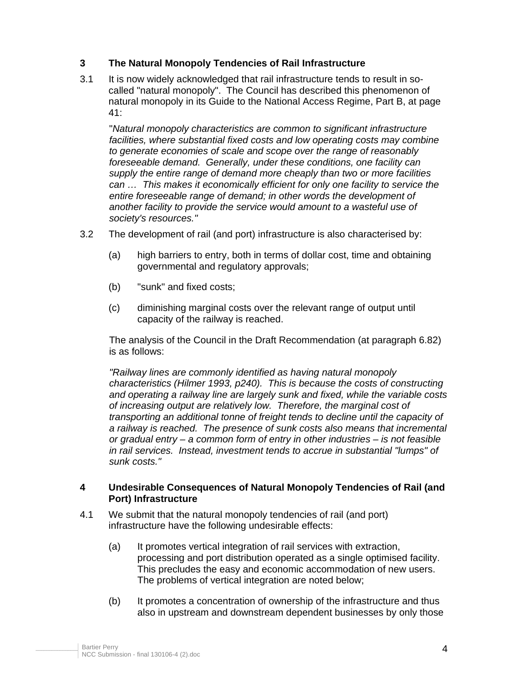# **3 The Natural Monopoly Tendencies of Rail Infrastructure**

3.1 It is now widely acknowledged that rail infrastructure tends to result in socalled "natural monopoly". The Council has described this phenomenon of natural monopoly in its Guide to the National Access Regime, Part B, at page 41:

"*Natural monopoly characteristics are common to significant infrastructure facilities, where substantial fixed costs and low operating costs may combine to generate economies of scale and scope over the range of reasonably foreseeable demand. Generally, under these conditions, one facility can supply the entire range of demand more cheaply than two or more facilities can … This makes it economically efficient for only one facility to service the entire foreseeable range of demand; in other words the development of another facility to provide the service would amount to a wasteful use of society's resources."* 

- 3.2 The development of rail (and port) infrastructure is also characterised by:
	- (a) high barriers to entry, both in terms of dollar cost, time and obtaining governmental and regulatory approvals;
	- (b) "sunk" and fixed costs;
	- (c) diminishing marginal costs over the relevant range of output until capacity of the railway is reached.

The analysis of the Council in the Draft Recommendation (at paragraph 6.82) is as follows:

*"Railway lines are commonly identified as having natural monopoly characteristics (Hilmer 1993, p240). This is because the costs of constructing and operating a railway line are largely sunk and fixed, while the variable costs of increasing output are relatively low. Therefore, the marginal cost of transporting an additional tonne of freight tends to decline until the capacity of a railway is reached. The presence of sunk costs also means that incremental or gradual entry – a common form of entry in other industries – is not feasible in rail services. Instead, investment tends to accrue in substantial "lumps" of sunk costs."* 

## **4 Undesirable Consequences of Natural Monopoly Tendencies of Rail (and Port) Infrastructure**

- 4.1 We submit that the natural monopoly tendencies of rail (and port) infrastructure have the following undesirable effects:
	- (a) It promotes vertical integration of rail services with extraction, processing and port distribution operated as a single optimised facility. This precludes the easy and economic accommodation of new users. The problems of vertical integration are noted below;
	- (b) It promotes a concentration of ownership of the infrastructure and thus also in upstream and downstream dependent businesses by only those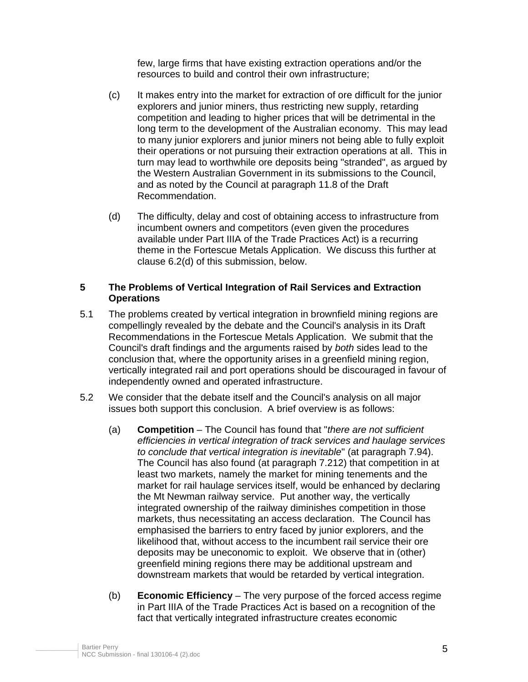few, large firms that have existing extraction operations and/or the resources to build and control their own infrastructure;

- (c) It makes entry into the market for extraction of ore difficult for the junior explorers and junior miners, thus restricting new supply, retarding competition and leading to higher prices that will be detrimental in the long term to the development of the Australian economy. This may lead to many junior explorers and junior miners not being able to fully exploit their operations or not pursuing their extraction operations at all. This in turn may lead to worthwhile ore deposits being "stranded", as argued by the Western Australian Government in its submissions to the Council, and as noted by the Council at paragraph 11.8 of the Draft Recommendation.
- (d) The difficulty, delay and cost of obtaining access to infrastructure from incumbent owners and competitors (even given the procedures available under Part IIIA of the Trade Practices Act) is a recurring theme in the Fortescue Metals Application. We discuss this further at clause 6.2(d) of this submission, below.

#### **5 The Problems of Vertical Integration of Rail Services and Extraction Operations**

- 5.1 The problems created by vertical integration in brownfield mining regions are compellingly revealed by the debate and the Council's analysis in its Draft Recommendations in the Fortescue Metals Application. We submit that the Council's draft findings and the arguments raised by *both* sides lead to the conclusion that, where the opportunity arises in a greenfield mining region, vertically integrated rail and port operations should be discouraged in favour of independently owned and operated infrastructure.
- 5.2 We consider that the debate itself and the Council's analysis on all major issues both support this conclusion. A brief overview is as follows:
	- (a) **Competition** The Council has found that "*there are not sufficient efficiencies in vertical integration of track services and haulage services to conclude that vertical integration is inevitable*" (at paragraph 7.94). The Council has also found (at paragraph 7.212) that competition in at least two markets, namely the market for mining tenements and the market for rail haulage services itself, would be enhanced by declaring the Mt Newman railway service. Put another way, the vertically integrated ownership of the railway diminishes competition in those markets, thus necessitating an access declaration. The Council has emphasised the barriers to entry faced by junior explorers, and the likelihood that, without access to the incumbent rail service their ore deposits may be uneconomic to exploit. We observe that in (other) greenfield mining regions there may be additional upstream and downstream markets that would be retarded by vertical integration.
	- (b) **Economic Efficiency** The very purpose of the forced access regime in Part IIIA of the Trade Practices Act is based on a recognition of the fact that vertically integrated infrastructure creates economic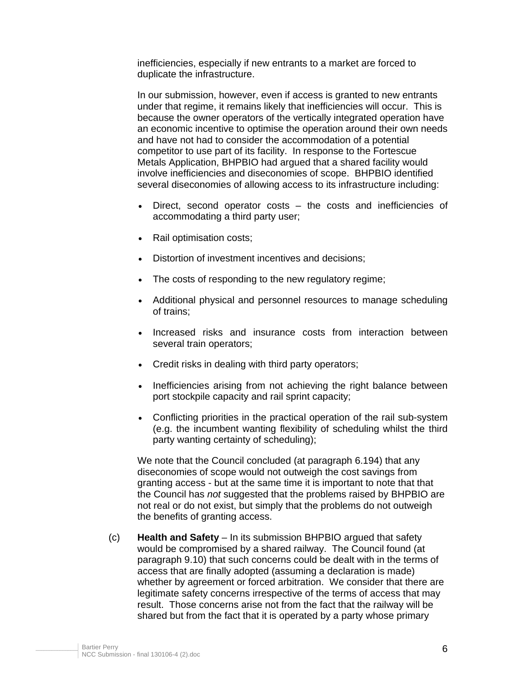inefficiencies, especially if new entrants to a market are forced to duplicate the infrastructure.

In our submission, however, even if access is granted to new entrants under that regime, it remains likely that inefficiencies will occur. This is because the owner operators of the vertically integrated operation have an economic incentive to optimise the operation around their own needs and have not had to consider the accommodation of a potential competitor to use part of its facility. In response to the Fortescue Metals Application, BHPBIO had argued that a shared facility would involve inefficiencies and diseconomies of scope. BHPBIO identified several diseconomies of allowing access to its infrastructure including:

- Direct, second operator costs the costs and inefficiencies of accommodating a third party user;
- Rail optimisation costs;
- Distortion of investment incentives and decisions;
- The costs of responding to the new regulatory regime;
- Additional physical and personnel resources to manage scheduling of trains;
- Increased risks and insurance costs from interaction between several train operators;
- Credit risks in dealing with third party operators;
- Inefficiencies arising from not achieving the right balance between port stockpile capacity and rail sprint capacity;
- Conflicting priorities in the practical operation of the rail sub-system (e.g. the incumbent wanting flexibility of scheduling whilst the third party wanting certainty of scheduling);

We note that the Council concluded (at paragraph 6.194) that any diseconomies of scope would not outweigh the cost savings from granting access - but at the same time it is important to note that that the Council has *not* suggested that the problems raised by BHPBIO are not real or do not exist, but simply that the problems do not outweigh the benefits of granting access.

(c) **Health and Safety** – In its submission BHPBIO argued that safety would be compromised by a shared railway. The Council found (at paragraph 9.10) that such concerns could be dealt with in the terms of access that are finally adopted (assuming a declaration is made) whether by agreement or forced arbitration. We consider that there are legitimate safety concerns irrespective of the terms of access that may result. Those concerns arise not from the fact that the railway will be shared but from the fact that it is operated by a party whose primary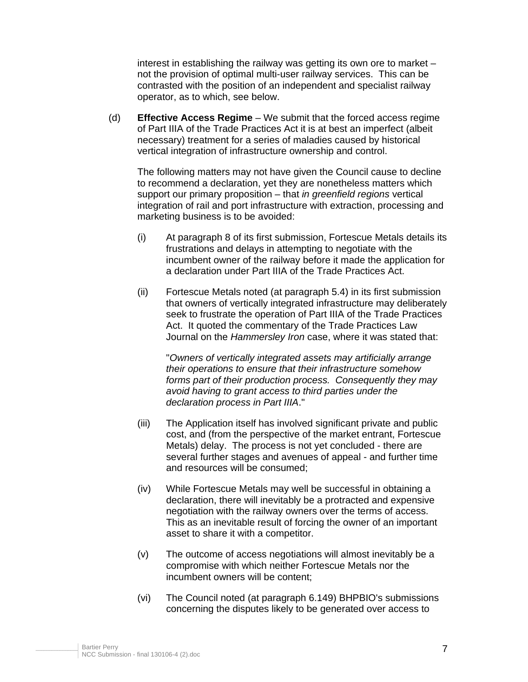interest in establishing the railway was getting its own ore to market – not the provision of optimal multi-user railway services. This can be contrasted with the position of an independent and specialist railway operator, as to which, see below.

(d) **Effective Access Regime** – We submit that the forced access regime of Part IIIA of the Trade Practices Act it is at best an imperfect (albeit necessary) treatment for a series of maladies caused by historical vertical integration of infrastructure ownership and control.

The following matters may not have given the Council cause to decline to recommend a declaration, yet they are nonetheless matters which support our primary proposition – that *in greenfield regions* vertical integration of rail and port infrastructure with extraction, processing and marketing business is to be avoided:

- (i) At paragraph 8 of its first submission, Fortescue Metals details its frustrations and delays in attempting to negotiate with the incumbent owner of the railway before it made the application for a declaration under Part IIIA of the Trade Practices Act.
- (ii) Fortescue Metals noted (at paragraph 5.4) in its first submission that owners of vertically integrated infrastructure may deliberately seek to frustrate the operation of Part IIIA of the Trade Practices Act. It quoted the commentary of the Trade Practices Law Journal on the *Hammersley Iron* case, where it was stated that:

"*Owners of vertically integrated assets may artificially arrange their operations to ensure that their infrastructure somehow forms part of their production process. Consequently they may avoid having to grant access to third parties under the declaration process in Part IIIA*."

- (iii) The Application itself has involved significant private and public cost, and (from the perspective of the market entrant, Fortescue Metals) delay. The process is not yet concluded - there are several further stages and avenues of appeal - and further time and resources will be consumed;
- (iv) While Fortescue Metals may well be successful in obtaining a declaration, there will inevitably be a protracted and expensive negotiation with the railway owners over the terms of access. This as an inevitable result of forcing the owner of an important asset to share it with a competitor.
- (v) The outcome of access negotiations will almost inevitably be a compromise with which neither Fortescue Metals nor the incumbent owners will be content;
- (vi) The Council noted (at paragraph 6.149) BHPBIO's submissions concerning the disputes likely to be generated over access to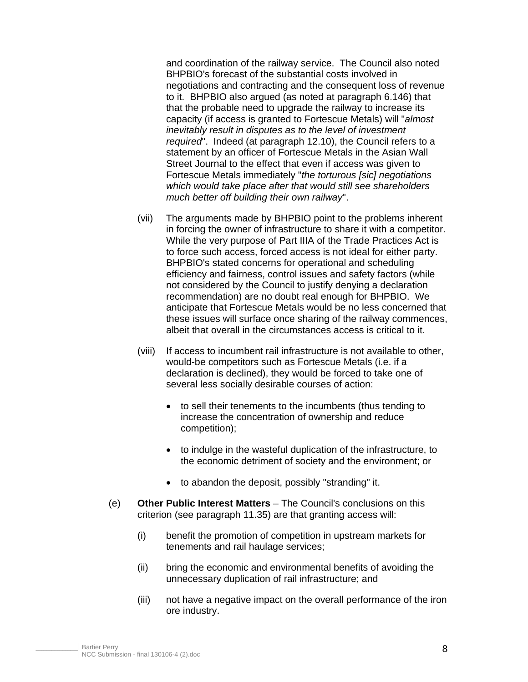and coordination of the railway service. The Council also noted BHPBIO's forecast of the substantial costs involved in negotiations and contracting and the consequent loss of revenue to it. BHPBIO also argued (as noted at paragraph 6.146) that that the probable need to upgrade the railway to increase its capacity (if access is granted to Fortescue Metals) will "*almost inevitably result in disputes as to the level of investment required*". Indeed (at paragraph 12.10), the Council refers to a statement by an officer of Fortescue Metals in the Asian Wall Street Journal to the effect that even if access was given to Fortescue Metals immediately "*the torturous [sic] negotiations which would take place after that would still see shareholders much better off building their own railway*".

- (vii) The arguments made by BHPBIO point to the problems inherent in forcing the owner of infrastructure to share it with a competitor. While the very purpose of Part IIIA of the Trade Practices Act is to force such access, forced access is not ideal for either party. BHPBIO's stated concerns for operational and scheduling efficiency and fairness, control issues and safety factors (while not considered by the Council to justify denying a declaration recommendation) are no doubt real enough for BHPBIO. We anticipate that Fortescue Metals would be no less concerned that these issues will surface once sharing of the railway commences, albeit that overall in the circumstances access is critical to it.
- (viii) If access to incumbent rail infrastructure is not available to other, would-be competitors such as Fortescue Metals (i.e. if a declaration is declined), they would be forced to take one of several less socially desirable courses of action:
	- to sell their tenements to the incumbents (thus tending to increase the concentration of ownership and reduce competition);
	- to indulge in the wasteful duplication of the infrastructure, to the economic detriment of society and the environment; or
	- to abandon the deposit, possibly "stranding" it.
- (e) **Other Public Interest Matters** The Council's conclusions on this criterion (see paragraph 11.35) are that granting access will:
	- (i) benefit the promotion of competition in upstream markets for tenements and rail haulage services;
	- (ii) bring the economic and environmental benefits of avoiding the unnecessary duplication of rail infrastructure; and
	- (iii) not have a negative impact on the overall performance of the iron ore industry.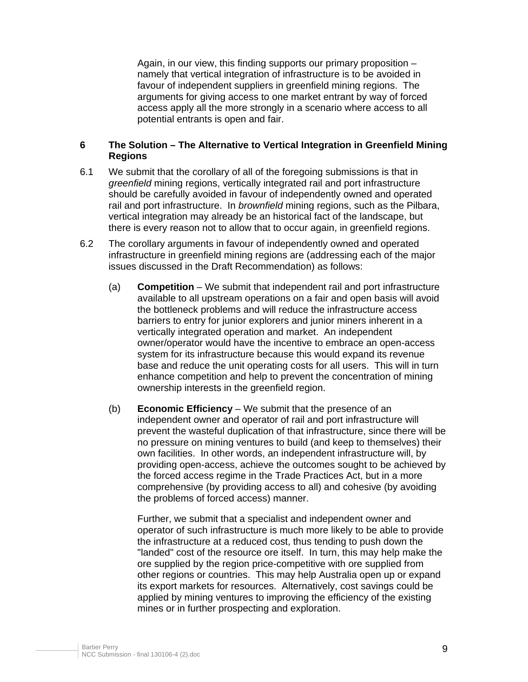Again, in our view, this finding supports our primary proposition – namely that vertical integration of infrastructure is to be avoided in favour of independent suppliers in greenfield mining regions. The arguments for giving access to one market entrant by way of forced access apply all the more strongly in a scenario where access to all potential entrants is open and fair.

## **6 The Solution – The Alternative to Vertical Integration in Greenfield Mining Regions**

- 6.1 We submit that the corollary of all of the foregoing submissions is that in *greenfield* mining regions, vertically integrated rail and port infrastructure should be carefully avoided in favour of independently owned and operated rail and port infrastructure. In *brownfield* mining regions, such as the Pilbara, vertical integration may already be an historical fact of the landscape, but there is every reason not to allow that to occur again, in greenfield regions.
- 6.2 The corollary arguments in favour of independently owned and operated infrastructure in greenfield mining regions are (addressing each of the major issues discussed in the Draft Recommendation) as follows:
	- (a) **Competition** We submit that independent rail and port infrastructure available to all upstream operations on a fair and open basis will avoid the bottleneck problems and will reduce the infrastructure access barriers to entry for junior explorers and junior miners inherent in a vertically integrated operation and market. An independent owner/operator would have the incentive to embrace an open-access system for its infrastructure because this would expand its revenue base and reduce the unit operating costs for all users. This will in turn enhance competition and help to prevent the concentration of mining ownership interests in the greenfield region.
	- (b) **Economic Efficiency** We submit that the presence of an independent owner and operator of rail and port infrastructure will prevent the wasteful duplication of that infrastructure, since there will be no pressure on mining ventures to build (and keep to themselves) their own facilities. In other words, an independent infrastructure will, by providing open-access, achieve the outcomes sought to be achieved by the forced access regime in the Trade Practices Act, but in a more comprehensive (by providing access to all) and cohesive (by avoiding the problems of forced access) manner.

Further, we submit that a specialist and independent owner and operator of such infrastructure is much more likely to be able to provide the infrastructure at a reduced cost, thus tending to push down the "landed" cost of the resource ore itself. In turn, this may help make the ore supplied by the region price-competitive with ore supplied from other regions or countries. This may help Australia open up or expand its export markets for resources. Alternatively, cost savings could be applied by mining ventures to improving the efficiency of the existing mines or in further prospecting and exploration.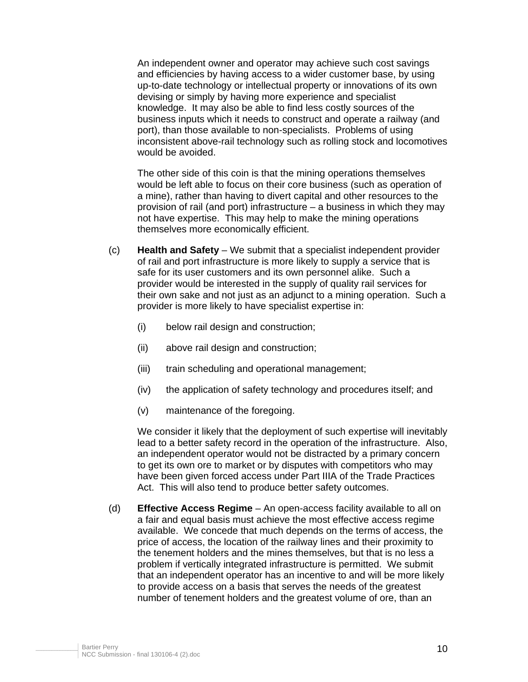An independent owner and operator may achieve such cost savings and efficiencies by having access to a wider customer base, by using up-to-date technology or intellectual property or innovations of its own devising or simply by having more experience and specialist knowledge. It may also be able to find less costly sources of the business inputs which it needs to construct and operate a railway (and port), than those available to non-specialists. Problems of using inconsistent above-rail technology such as rolling stock and locomotives would be avoided.

The other side of this coin is that the mining operations themselves would be left able to focus on their core business (such as operation of a mine), rather than having to divert capital and other resources to the provision of rail (and port) infrastructure – a business in which they may not have expertise. This may help to make the mining operations themselves more economically efficient.

- (c) **Health and Safety** We submit that a specialist independent provider of rail and port infrastructure is more likely to supply a service that is safe for its user customers and its own personnel alike. Such a provider would be interested in the supply of quality rail services for their own sake and not just as an adjunct to a mining operation. Such a provider is more likely to have specialist expertise in:
	- (i) below rail design and construction;
	- (ii) above rail design and construction;
	- (iii) train scheduling and operational management;
	- (iv) the application of safety technology and procedures itself; and
	- (v) maintenance of the foregoing.

We consider it likely that the deployment of such expertise will inevitably lead to a better safety record in the operation of the infrastructure. Also, an independent operator would not be distracted by a primary concern to get its own ore to market or by disputes with competitors who may have been given forced access under Part IIIA of the Trade Practices Act. This will also tend to produce better safety outcomes.

(d) **Effective Access Regime** – An open-access facility available to all on a fair and equal basis must achieve the most effective access regime available. We concede that much depends on the terms of access, the price of access, the location of the railway lines and their proximity to the tenement holders and the mines themselves, but that is no less a problem if vertically integrated infrastructure is permitted. We submit that an independent operator has an incentive to and will be more likely to provide access on a basis that serves the needs of the greatest number of tenement holders and the greatest volume of ore, than an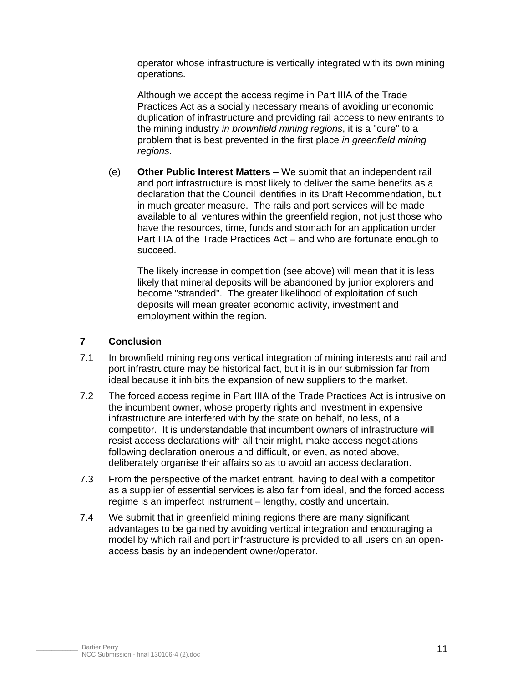operator whose infrastructure is vertically integrated with its own mining operations.

Although we accept the access regime in Part IIIA of the Trade Practices Act as a socially necessary means of avoiding uneconomic duplication of infrastructure and providing rail access to new entrants to the mining industry *in brownfield mining regions*, it is a "cure" to a problem that is best prevented in the first place *in greenfield mining regions*.

(e) **Other Public Interest Matters** – We submit that an independent rail and port infrastructure is most likely to deliver the same benefits as a declaration that the Council identifies in its Draft Recommendation, but in much greater measure. The rails and port services will be made available to all ventures within the greenfield region, not just those who have the resources, time, funds and stomach for an application under Part IIIA of the Trade Practices Act – and who are fortunate enough to succeed.

The likely increase in competition (see above) will mean that it is less likely that mineral deposits will be abandoned by junior explorers and become "stranded". The greater likelihood of exploitation of such deposits will mean greater economic activity, investment and employment within the region.

# **7 Conclusion**

- 7.1 In brownfield mining regions vertical integration of mining interests and rail and port infrastructure may be historical fact, but it is in our submission far from ideal because it inhibits the expansion of new suppliers to the market.
- 7.2 The forced access regime in Part IIIA of the Trade Practices Act is intrusive on the incumbent owner, whose property rights and investment in expensive infrastructure are interfered with by the state on behalf, no less, of a competitor. It is understandable that incumbent owners of infrastructure will resist access declarations with all their might, make access negotiations following declaration onerous and difficult, or even, as noted above, deliberately organise their affairs so as to avoid an access declaration.
- 7.3 From the perspective of the market entrant, having to deal with a competitor as a supplier of essential services is also far from ideal, and the forced access regime is an imperfect instrument – lengthy, costly and uncertain.
- 7.4 We submit that in greenfield mining regions there are many significant advantages to be gained by avoiding vertical integration and encouraging a model by which rail and port infrastructure is provided to all users on an openaccess basis by an independent owner/operator.